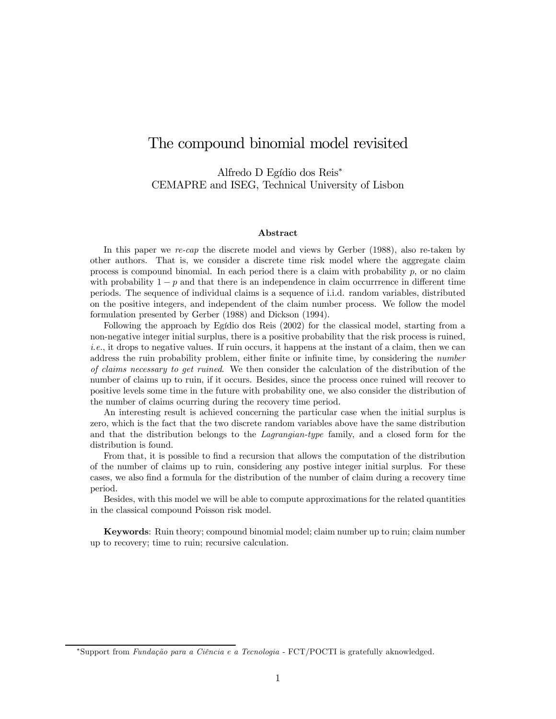# The compound binomial model revisited

Alfredo D Egídio dos Reis<sup>∗</sup> CEMAPRE and ISEG, Technical University of Lisbon

#### Abstract

In this paper we re-cap the discrete model and views by Gerber (1988), also re-taken by other authors. That is, we consider a discrete time risk model where the aggregate claim process is compound binomial. In each period there is a claim with probability  $p$ , or no claim with probability  $1 - p$  and that there is an independence in claim occurrence in different time periods. The sequence of individual claims is a sequence of i.i.d. random variables, distributed on the positive integers, and independent of the claim number process. We follow the model formulation presented by Gerber (1988) and Dickson (1994).

Following the approach by Egídio dos Reis (2002) for the classical model, starting from a non-negative integer initial surplus, there is a positive probability that the risk process is ruined,  $i.e.,$  it drops to negative values. If ruin occurs, it happens at the instant of a claim, then we can address the ruin probability problem, either finite or infinite time, by considering the number of claims necessary to get ruined. We then consider the calculation of the distribution of the number of claims up to ruin, if it occurs. Besides, since the process once ruined will recover to positive levels some time in the future with probability one, we also consider the distribution of the number of claims ocurring during the recovery time period.

An interesting result is achieved concerning the particular case when the initial surplus is zero, which is the fact that the two discrete random variables above have the same distribution and that the distribution belongs to the Lagrangian-type family, and a closed form for the distribution is found.

From that, it is possible to find a recursion that allows the computation of the distribution of the number of claims up to ruin, considering any postive integer initial surplus. For these cases, we also find a formula for the distribution of the number of claim during a recovery time period.

Besides, with this model we will be able to compute approximations for the related quantities in the classical compound Poisson risk model.

Keywords: Ruin theory; compound binomial model; claim number up to ruin; claim number up to recovery; time to ruin; recursive calculation.

<sup>∗</sup>Support from Fundação para a Ciência e a Tecnologia - FCT/POCTI is gratefully aknowledged.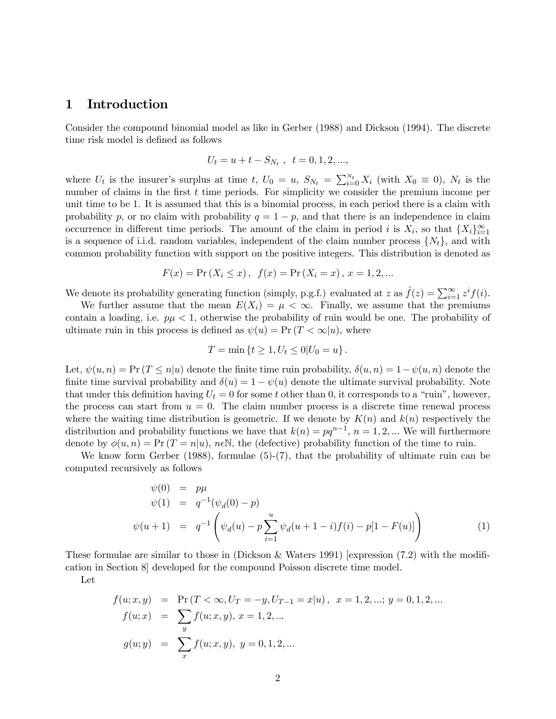## 1 Introduction

Consider the compound binomial model as like in Gerber (1988) and Dickson (1994). The discrete time risk model is defined as follows

$$
U_t = u + t - S_{N_t} , t = 0, 1, 2, ...,
$$

where  $U_t$  is the insurer's surplus at time t,  $U_0 = u$ ,  $S_{N_t} = \sum_{i=0}^{N_t} X_i$  (with  $X_0 \equiv 0$ ),  $N_t$  is the number of claims in the first t time periods. For simplicity we consider the premium income per unit time to be 1. It is assumed that this is a binomial process, in each period there is a claim with probability p, or no claim with probability  $q = 1 - p$ , and that there is an independence in claim occurrence in different time periods. The amount of the claim in period i is  $X_i$ , so that  $\{X_i\}_{i=1}^{\infty}$ is a sequence of i.i.d. random variables, independent of the claim number process  $\{N_t\}$ , and with common probability function with support on the positive integers. This distribution is denoted as

$$
F(x) = Pr(X_i \le x), \ f(x) = Pr(X_i = x), x = 1, 2, ...
$$

We denote its probability generating function (simply, p.g.f.) evaluated at z as  $\hat{f}(z) = \sum_{i=1}^{\infty} z^{i} f(i)$ .

We further assume that the mean  $E(X_i) = \mu < \infty$ . Finally, we assume that the premiums contain a loading, i.e.  $p\mu < 1$ , otherwise the probability of ruin would be one. The probability of ultimate ruin in this process is defined as  $\psi(u) = \Pr(T < \infty | u)$ , where

$$
T = \min \{ t \ge 1, U_t \le 0 | U_0 = u \}.
$$

Let,  $\psi(u, n) = \Pr(T \leq n|u)$  denote the finite time ruin probability,  $\delta(u, n) = 1 - \psi(u, n)$  denote the finite time survival probability and  $\delta(u)=1 - \psi(u)$  denote the ultimate survival probability. Note that under this definition having  $U_t = 0$  for some t other than 0, it corresponds to a "ruin", however, the process can start from  $u = 0$ . The claim number process is a discrete time renewal process where the waiting time distribution is geometric. If we denote by  $K(n)$  and  $k(n)$  respectively the distribution and probability functions we have that  $k(n) = pq^{n-1}, n = 1, 2, ...$  We will furthermore denote by  $\phi(u, n) = \Pr(T = n|u)$ ,  $n \in \mathbb{N}$ , the (defective) probability function of the time to ruin.

We know form Gerber (1988), formulae (5)-(7), that the probability of ultimate ruin can be computed recursively as follows

$$
\psi(0) = p\mu \n\psi(1) = q^{-1}(\psi_d(0) - p) \n\psi(u+1) = q^{-1} \left( \psi_d(u) - p \sum_{i=1}^u \psi_d(u+1-i) f(i) - p[1 - F(u)] \right)
$$
\n(1)

These formulae are similar to those in (Dickson & Waters 1991) [expression (7.2) with the modification in Section 8] developed for the compound Poisson discrete time model.

Let

$$
f(u; x, y) = \Pr(T < \infty, U_T = -y, U_{T-1} = x | u), \quad x = 1, 2, \dots; y = 0, 1, 2, \dots
$$
\n
$$
f(u; x) = \sum_{y} f(u; x, y), \quad x = 1, 2, \dots
$$
\n
$$
g(u; y) = \sum_{x} f(u; x, y), \quad y = 0, 1, 2, \dots
$$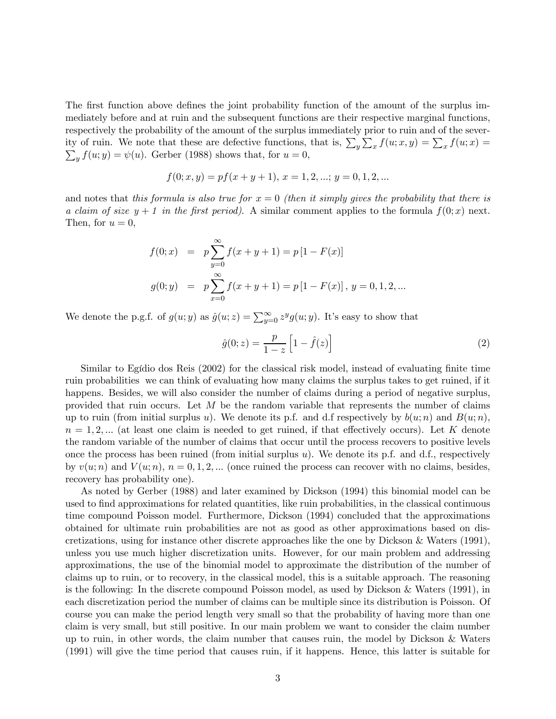The first function above defines the joint probability function of the amount of the surplus immediately before and at ruin and the subsequent functions are their respective marginal functions, respectively the probability of the amount of the surplus immediately prior to ruin and of the severity of ruin. We note that these are defective functions, that is,  $\sum_{y} \sum_{x} f(u; x, y) = \sum_{x} f(u; x) =$ <br> $\sum_{x} f(u; y) = \psi(u)$ . Gerber (1988) shows that, for  $u = 0$ .  $\sum_{y} f(u; y) = \psi(u)$ . Gerber (1988) shows that, for  $u = 0$ ,

$$
f(0; x, y) = pf(x + y + 1), x = 1, 2, \dots; y = 0, 1, 2, \dots
$$

and notes that this formula is also true for  $x = 0$  (then it simply gives the probability that there is a claim of size  $y + 1$  in the first period). A similar comment applies to the formula  $f(0; x)$  next. Then, for  $u=0$ ,

$$
f(0; x) = p \sum_{y=0}^{\infty} f(x+y+1) = p [1 - F(x)]
$$
  

$$
g(0; y) = p \sum_{x=0}^{\infty} f(x+y+1) = p [1 - F(x)], y = 0, 1, 2, ...
$$

We denote the p.g.f. of  $g(u; y)$  as  $\hat{g}(u; z) = \sum_{y=0}^{\infty} z^y g(u; y)$ . It's easy to show that

$$
\hat{g}(0; z) = \frac{p}{1 - z} \left[ 1 - \hat{f}(z) \right]
$$
 (2)

Similar to Egídio dos Reis (2002) for the classical risk model, instead of evaluating finite time ruin probabilities we can think of evaluating how many claims the surplus takes to get ruined, if it happens. Besides, we will also consider the number of claims during a period of negative surplus, provided that ruin occurs. Let  $M$  be the random variable that represents the number of claims up to ruin (from initial surplus u). We denote its p.f. and d.f respectively by  $b(u; n)$  and  $B(u; n)$ ,  $n = 1, 2, ...$  (at least one claim is needed to get ruined, if that effectively occurs). Let K denote the random variable of the number of claims that occur until the process recovers to positive levels once the process has been ruined (from initial surplus  $u$ ). We denote its p.f. and d.f., respectively by  $v(u; n)$  and  $V(u; n)$ ,  $n = 0, 1, 2, ...$  (once ruined the process can recover with no claims, besides, recovery has probability one).

As noted by Gerber (1988) and later examined by Dickson (1994) this binomial model can be used to find approximations for related quantities, like ruin probabilities, in the classical continuous time compound Poisson model. Furthermore, Dickson (1994) concluded that the approximations obtained for ultimate ruin probabilities are not as good as other approximations based on discretizations, using for instance other discrete approaches like the one by Dickson & Waters (1991), unless you use much higher discretization units. However, for our main problem and addressing approximations, the use of the binomial model to approximate the distribution of the number of claims up to ruin, or to recovery, in the classical model, this is a suitable approach. The reasoning is the following: In the discrete compound Poisson model, as used by Dickson & Waters (1991), in each discretization period the number of claims can be multiple since its distribution is Poisson. Of course you can make the period length very small so that the probability of having more than one claim is very small, but still positive. In our main problem we want to consider the claim number up to ruin, in other words, the claim number that causes ruin, the model by Dickson & Waters (1991) will give the time period that causes ruin, if it happens. Hence, this latter is suitable for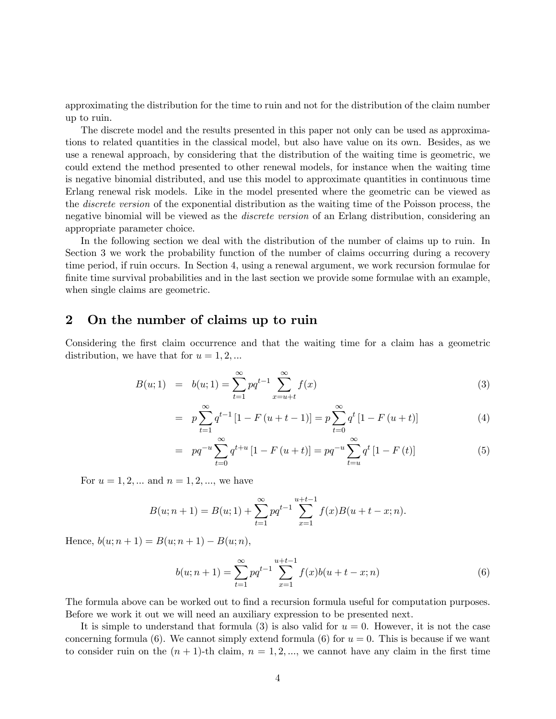approximating the distribution for the time to ruin and not for the distribution of the claim number up to ruin.

The discrete model and the results presented in this paper not only can be used as approximations to related quantities in the classical model, but also have value on its own. Besides, as we use a renewal approach, by considering that the distribution of the waiting time is geometric, we could extend the method presented to other renewal models, for instance when the waiting time is negative binomial distributed, and use this model to approximate quantities in continuous time Erlang renewal risk models. Like in the model presented where the geometric can be viewed as the discrete version of the exponential distribution as the waiting time of the Poisson process, the negative binomial will be viewed as the *discrete version* of an Erlang distribution, considering an appropriate parameter choice.

In the following section we deal with the distribution of the number of claims up to ruin. In Section 3 we work the probability function of the number of claims occurring during a recovery time period, if ruin occurs. In Section 4, using a renewal argument, we work recursion formulae for finite time survival probabilities and in the last section we provide some formulae with an example, when single claims are geometric.

#### 2 On the number of claims up to ruin

Considering the first claim occurrence and that the waiting time for a claim has a geometric distribution, we have that for  $u = 1, 2, ...$ 

$$
B(u;1) = b(u;1) = \sum_{t=1}^{\infty} pq^{t-1} \sum_{x=u+t}^{\infty} f(x)
$$
 (3)

$$
= p \sum_{t=1}^{\infty} q^{t-1} \left[ 1 - F(u+t-1) \right] = p \sum_{t=0}^{\infty} q^t \left[ 1 - F(u+t) \right] \tag{4}
$$

$$
= pq^{-u} \sum_{t=0}^{\infty} q^{t+u} [1 - F(u+t)] = pq^{-u} \sum_{t=u}^{\infty} q^t [1 - F(t)] \tag{5}
$$

For  $u = 1, 2, ...$  and  $n = 1, 2, ...$ , we have

$$
B(u; n+1) = B(u; 1) + \sum_{t=1}^{\infty} p q^{t-1} \sum_{x=1}^{u+t-1} f(x)B(u+t-x; n).
$$

Hence,  $b(u; n + 1) = B(u; n + 1) - B(u; n)$ ,

$$
b(u; n+1) = \sum_{t=1}^{\infty} p q^{t-1} \sum_{x=1}^{u+t-1} f(x)b(u+t-x; n)
$$
 (6)

The formula above can be worked out to find a recursion formula useful for computation purposes. Before we work it out we will need an auxiliary expression to be presented next.

It is simple to understand that formula (3) is also valid for  $u = 0$ . However, it is not the case concerning formula (6). We cannot simply extend formula (6) for  $u = 0$ . This is because if we want to consider ruin on the  $(n + 1)$ -th claim,  $n = 1, 2, \dots$ , we cannot have any claim in the first time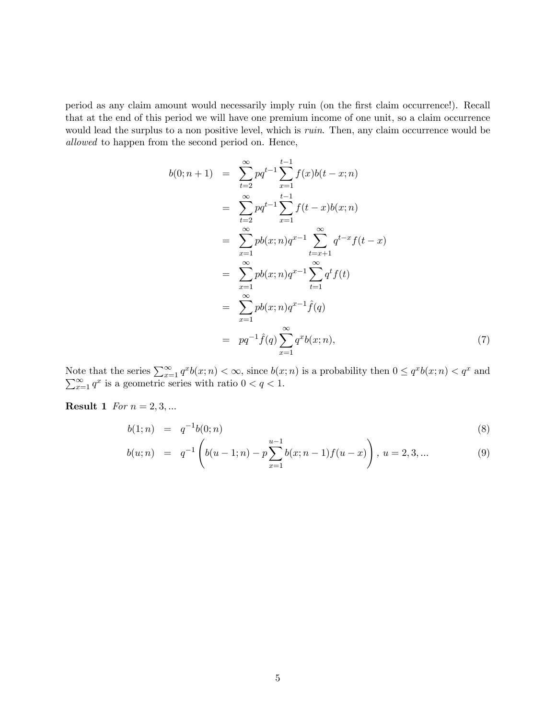period as any claim amount would necessarily imply ruin (on the first claim occurrence!). Recall that at the end of this period we will have one premium income of one unit, so a claim occurrence would lead the surplus to a non positive level, which is *ruin*. Then, any claim occurrence would be allowed to happen from the second period on. Hence,

$$
b(0; n+1) = \sum_{t=2}^{\infty} pq^{t-1} \sum_{x=1}^{t-1} f(x)b(t-x; n)
$$
  
\n
$$
= \sum_{t=2}^{\infty} pq^{t-1} \sum_{x=1}^{t-1} f(t-x)b(x; n)
$$
  
\n
$$
= \sum_{x=1}^{\infty} pb(x; n)q^{x-1} \sum_{t=x+1}^{\infty} q^{t-x}f(t-x)
$$
  
\n
$$
= \sum_{x=1}^{\infty} pb(x; n)q^{x-1} \sum_{t=1}^{\infty} q^{t}f(t)
$$
  
\n
$$
= \sum_{x=1}^{\infty} pb(x; n)q^{x-1} \hat{f}(q)
$$
  
\n
$$
= pq^{-1} \hat{f}(q) \sum_{x=1}^{\infty} q^{x}b(x; n),
$$
 (7)

Note that the series  $\sum_{x=1}^{\infty} q^x b(x; n) < \infty$ , since  $b(x; n)$  is a probability then  $0 \leq q^x b(x; n) < q^x$ <br> $\sum_{x=1}^{\infty} q^x$  is a geometric series with ratio  $0 < q < 1$ . and  $\sum_{x=1}^{\infty} q^x$  is a geometric series with ratio  $0 < q < 1$ .

**Result 1** For  $n = 2, 3, ...$ 

$$
b(1; n) = q^{-1}b(0; n) \tag{8}
$$

$$
b(u; n) = q^{-1} \left( b(u-1; n) - p \sum_{x=1}^{u-1} b(x; n-1) f(u-x) \right), u = 2, 3, ... \tag{9}
$$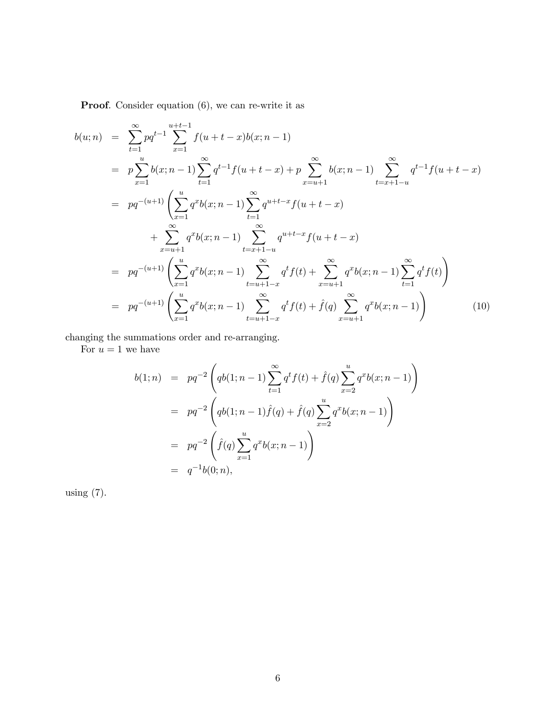Proof. Consider equation  $(6)$ , we can re-write it as

$$
b(u; n) = \sum_{t=1}^{\infty} pq^{t-1} \sum_{x=1}^{u+t-1} f(u+t-x)b(x; n-1)
$$
  
\n
$$
= p \sum_{x=1}^{u} b(x; n-1) \sum_{t=1}^{\infty} q^{t-1} f(u+t-x) + p \sum_{x=u+1}^{\infty} b(x; n-1) \sum_{t=x+1-u}^{\infty} q^{t-1} f(u+t-x)
$$
  
\n
$$
= pq^{-(u+1)} \left( \sum_{x=1}^{u} q^{x} b(x; n-1) \sum_{t=1}^{\infty} q^{u+t-x} f(u+t-x) + \sum_{x=u+1}^{\infty} q^{x} b(x; n-1) \sum_{t=x+1-u}^{\infty} q^{u+t-x} f(u+t-x) \right)
$$
  
\n
$$
= pq^{-(u+1)} \left( \sum_{x=1}^{u} q^{x} b(x; n-1) \sum_{t=u+1-x}^{\infty} q^{t} f(t) + \sum_{x=u+1}^{\infty} q^{x} b(x; n-1) \sum_{t=1}^{\infty} q^{t} f(t) \right)
$$
  
\n
$$
= pq^{-(u+1)} \left( \sum_{x=1}^{u} q^{x} b(x; n-1) \sum_{t=u+1-x}^{\infty} q^{t} f(t) + \hat{f}(q) \sum_{x=u+1}^{\infty} q^{x} b(x; n-1) \right)
$$
(10)

changing the summations order and re-arranging.

For  $u = 1$  we have

$$
b(1;n) = pq^{-2} \left( qb(1;n-1) \sum_{t=1}^{\infty} q^t f(t) + \hat{f}(q) \sum_{x=2}^u q^x b(x;n-1) \right)
$$
  
=  $pq^{-2} \left( qb(1;n-1) \hat{f}(q) + \hat{f}(q) \sum_{x=2}^u q^x b(x;n-1) \right)$   
=  $pq^{-2} \left( \hat{f}(q) \sum_{x=1}^u q^x b(x;n-1) \right)$   
=  $q^{-1}b(0;n),$ 

using (7).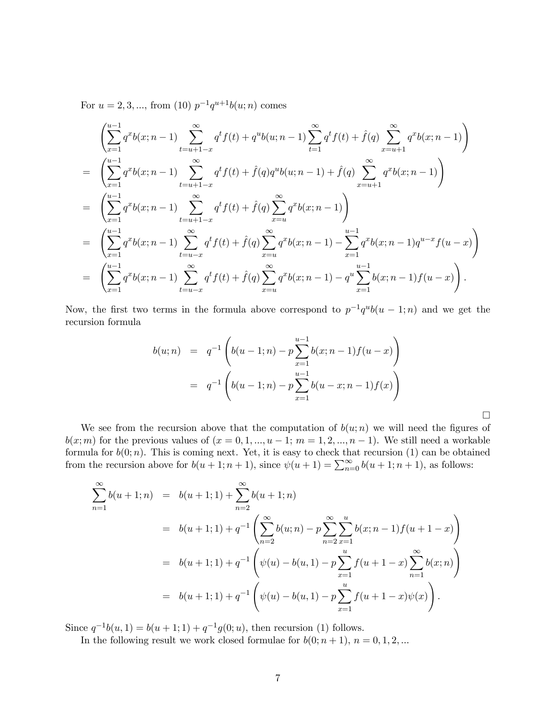For  $u = 2, 3, ...,$  from (10)  $p^{-1}q^{u+1}b(u; n)$  comes

$$
\begin{split}\n&\left(\sum_{x=1}^{u-1} q^x b(x; n-1) \sum_{t=u+1-x}^{\infty} q^t f(t) + q^u b(u; n-1) \sum_{t=1}^{\infty} q^t f(t) + \hat{f}(q) \sum_{x=u+1}^{\infty} q^x b(x; n-1)\right) \\
&= \left(\sum_{x=1}^{u-1} q^x b(x; n-1) \sum_{t=u+1-x}^{\infty} q^t f(t) + \hat{f}(q) q^u b(u; n-1) + \hat{f}(q) \sum_{x=u+1}^{\infty} q^x b(x; n-1)\right) \\
&= \left(\sum_{x=1}^{u-1} q^x b(x; n-1) \sum_{t=u+1-x}^{\infty} q^t f(t) + \hat{f}(q) \sum_{x=u}^{\infty} q^x b(x; n-1)\right) \\
&= \left(\sum_{x=1}^{u-1} q^x b(x; n-1) \sum_{t=u-x}^{\infty} q^t f(t) + \hat{f}(q) \sum_{x=u}^{\infty} q^x b(x; n-1) - \sum_{x=1}^{u-1} q^x b(x; n-1) q^{u-x} f(u-x)\right) \\
&= \left(\sum_{x=1}^{u-1} q^x b(x; n-1) \sum_{t=u-x}^{\infty} q^t f(t) + \hat{f}(q) \sum_{x=u}^{\infty} q^x b(x; n-1) - q^u \sum_{x=1}^{u-1} b(x; n-1) f(u-x)\right).\n\end{split}
$$

Now, the first two terms in the formula above correspond to  $p^{-1}q^{u}b(u - 1; n)$  and we get the recursion formula

$$
b(u; n) = q^{-1} \left( b(u - 1; n) - p \sum_{x=1}^{u-1} b(x; n-1) f(u - x) \right)
$$
  
=  $q^{-1} \left( b(u - 1; n) - p \sum_{x=1}^{u-1} b(u - x; n-1) f(x) \right)$ 

 $\Box$ 

We see from the recursion above that the computation of  $b(u; n)$  we will need the figures of  $b(x; m)$  for the previous values of  $(x = 0, 1, ..., u - 1; m = 1, 2, ..., n - 1)$ . We still need a workable formula for  $b(0; n)$ . This is coming next. Yet, it is easy to check that recursion (1) can be obtained from the recursion above for  $b(u + 1; n + 1)$ , since  $\psi(u + 1) = \sum_{n=0}^{\infty} b(u + 1; n + 1)$ , as follows:

$$
\sum_{n=1}^{\infty} b(u+1;n) = b(u+1;1) + \sum_{n=2}^{\infty} b(u+1;n)
$$
  
=  $b(u+1;1) + q^{-1} \left( \sum_{n=2}^{\infty} b(u;n) - p \sum_{n=2}^{\infty} \sum_{x=1}^{u} b(x;n-1) f(u+1-x) \right)$   
=  $b(u+1;1) + q^{-1} \left( \psi(u) - b(u,1) - p \sum_{x=1}^{u} f(u+1-x) \sum_{n=1}^{\infty} b(x;n) \right)$   
=  $b(u+1;1) + q^{-1} \left( \psi(u) - b(u,1) - p \sum_{x=1}^{u} f(u+1-x) \psi(x) \right).$ 

Since  $q^{-1}b(u, 1) = b(u + 1; 1) + q^{-1}g(0; u)$ , then recursion (1) follows.

In the following result we work closed formulae for  $b(0; n + 1)$ ,  $n = 0, 1, 2, ...$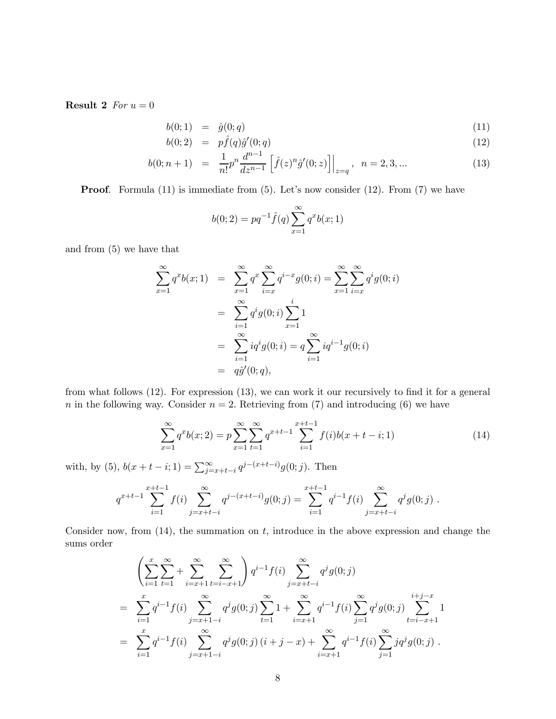**Result 2** For  $u = 0$ 

$$
b(0;1) = \hat{g}(0;q) \tag{11}
$$

$$
b(0;2) = p\hat{f}(q)\hat{g}'(0;q) \tag{12}
$$

$$
b(0; n+1) = \frac{1}{n!} p^n \frac{d^{n-1}}{dz^{n-1}} \left[ \hat{f}(z)^n \hat{g}'(0; z) \right] \Big|_{z=q}, \quad n = 2, 3, \dots \tag{13}
$$

Proof. Formula (11) is immediate from (5). Let's now consider (12). From (7) we have

$$
b(0;2) = pq^{-1}\hat{f}(q)\sum_{x=1}^{\infty} q^x b(x;1)
$$

and from (5) we have that

$$
\sum_{x=1}^{\infty} q^x b(x; 1) = \sum_{x=1}^{\infty} q^x \sum_{i=x}^{\infty} q^{i-x} g(0; i) = \sum_{x=1}^{\infty} \sum_{i=x}^{\infty} q^i g(0; i)
$$

$$
= \sum_{i=1}^{\infty} q^i g(0; i) \sum_{x=1}^i 1
$$

$$
= \sum_{i=1}^{\infty} iq^i g(0; i) = q \sum_{i=1}^{\infty} iq^{i-1} g(0; i)
$$

$$
= q\hat{g}'(0; q),
$$

from what follows (12). For expression (13), we can work it our recursively to find it for a general n in the following way. Consider  $n = 2$ . Retrieving from (7) and introducing (6) we have

$$
\sum_{x=1}^{\infty} q^x b(x; 2) = p \sum_{x=1}^{\infty} \sum_{t=1}^{\infty} q^{x+t-1} \sum_{i=1}^{x+t-1} f(i) b(x+t-i; 1)
$$
\n(14)

with, by (5),  $b(x + t - i; 1) = \sum_{j=x+t-i}^{\infty} q^{j-(x+t-i)}g(0; j)$ . Then

$$
q^{x+t-1} \sum_{i=1}^{x+t-1} f(i) \sum_{j=x+t-i}^{\infty} q^{j-(x+t-i)} g(0;j) = \sum_{i=1}^{x+t-1} q^{i-1} f(i) \sum_{j=x+t-i}^{\infty} q^j g(0;j).
$$

Consider now, from  $(14)$ , the summation on t, introduce in the above expression and change the sums order

$$
\left(\sum_{i=1}^{x} \sum_{t=1}^{\infty} + \sum_{i=x+1}^{\infty} \sum_{t=i-x+1}^{\infty} \right) q^{i-1} f(i) \sum_{j=x+t-i}^{\infty} q^{j} g(0; j)
$$
\n
$$
= \sum_{i=1}^{x} q^{i-1} f(i) \sum_{j=x+1-i}^{\infty} q^{j} g(0; j) \sum_{t=1}^{\infty} 1 + \sum_{i=x+1}^{\infty} q^{i-1} f(i) \sum_{j=1}^{\infty} q^{j} g(0; j) \sum_{t=i-x+1}^{i+j-x} 1
$$
\n
$$
= \sum_{i=1}^{x} q^{i-1} f(i) \sum_{j=x+1-i}^{\infty} q^{j} g(0; j) (i+j-x) + \sum_{i=x+1}^{\infty} q^{i-1} f(i) \sum_{j=1}^{\infty} j q^{j} g(0; j).
$$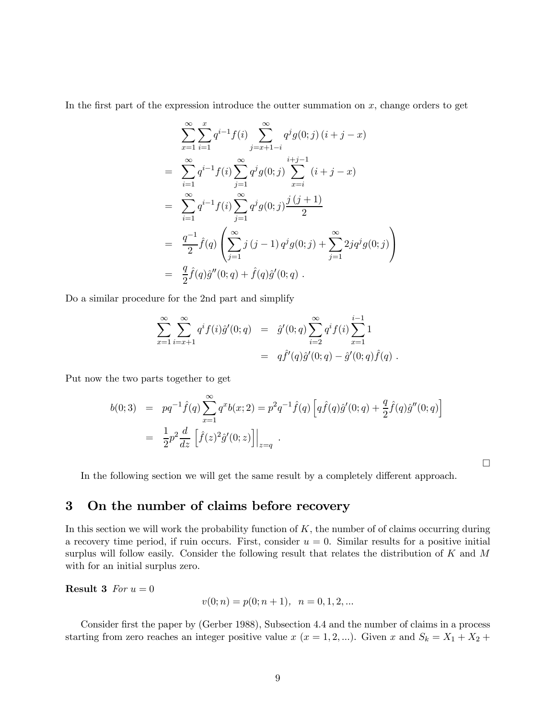In the first part of the expression introduce the outter summation on  $x$ , change orders to get

$$
\sum_{x=1}^{\infty} \sum_{i=1}^{x} q^{i-1} f(i) \sum_{j=x+1-i}^{\infty} q^{j} g(0; j) (i+j-x)
$$
  
\n
$$
= \sum_{i=1}^{\infty} q^{i-1} f(i) \sum_{j=1}^{\infty} q^{j} g(0; j) \sum_{x=i}^{i+j-1} (i+j-x)
$$
  
\n
$$
= \sum_{i=1}^{\infty} q^{i-1} f(i) \sum_{j=1}^{\infty} q^{j} g(0; j) \frac{j(j+1)}{2}
$$
  
\n
$$
= \frac{q^{-1}}{2} \hat{f}(q) \left( \sum_{j=1}^{\infty} j (j-1) q^{j} g(0; j) + \sum_{j=1}^{\infty} 2j q^{j} g(0; j) \right)
$$
  
\n
$$
= \frac{q}{2} \hat{f}(q) \hat{g}''(0; q) + \hat{f}(q) \hat{g}'(0; q) .
$$

Do a similar procedure for the 2nd part and simplify

$$
\sum_{x=1}^{\infty} \sum_{i=x+1}^{\infty} q^{i} f(i) \hat{g}'(0; q) = \hat{g}'(0; q) \sum_{i=2}^{\infty} q^{i} f(i) \sum_{x=1}^{i-1} 1
$$
  
=  $q \hat{f}'(q) \hat{g}'(0; q) - \hat{g}'(0; q) \hat{f}(q)$ .

Put now the two parts together to get

$$
b(0;3) = pq^{-1}\hat{f}(q)\sum_{x=1}^{\infty} q^x b(x;2) = p^2 q^{-1}\hat{f}(q) \left[ q\hat{f}(q)\hat{g}'(0;q) + \frac{q}{2}\hat{f}(q)\hat{g}''(0;q) \right]
$$
  
= 
$$
\frac{1}{2}p^2 \frac{d}{dz} \left[ \hat{f}(z)^2 \hat{g}'(0;z) \right] \Big|_{z=q} .
$$

¤

In the following section we will get the same result by a completely different approach.

# 3 On the number of claims before recovery

In this section we will work the probability function of  $K$ , the number of of claims occurring during a recovery time period, if ruin occurs. First, consider  $u = 0$ . Similar results for a positive initial surplus will follow easily. Consider the following result that relates the distribution of K and M with for an initial surplus zero.

**Result 3** For  $u = 0$ 

$$
v(0; n) = p(0; n + 1), \ \ n = 0, 1, 2, \dots
$$

Consider first the paper by (Gerber 1988), Subsection 4.4 and the number of claims in a process starting from zero reaches an integer positive value x  $(x = 1, 2, ...)$ . Given x and  $S_k = X_1 + X_2 +$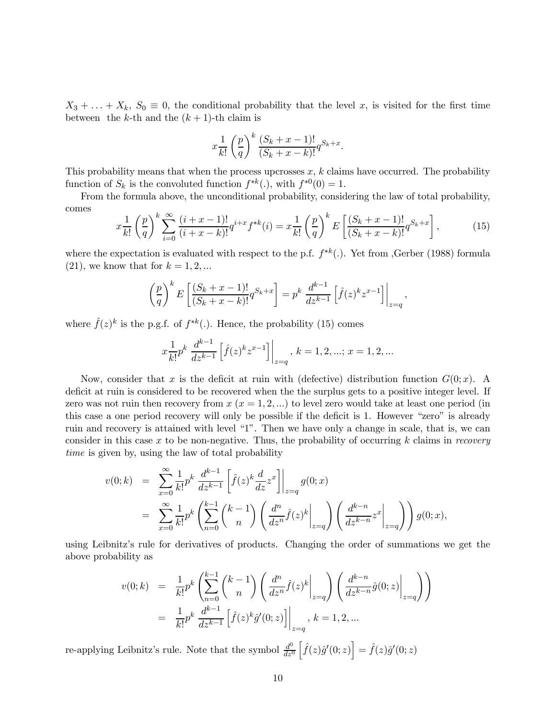$X_3 + \ldots + X_k$ ,  $S_0 \equiv 0$ , the conditional probability that the level x, is visited for the first time between the k-th and the  $(k+1)$ -th claim is

$$
x\frac{1}{k!}\left(\frac{p}{q}\right)^k\frac{(S_k+x-1)!}{(S_k+x-k)!}q^{S_k+x}.
$$

This probability means that when the process upcrosses  $x, k$  claims have occurred. The probability function of  $S_k$  is the convoluted function  $f^{*k}(.)$ , with  $f^{*0}(0) = 1$ .

From the formula above, the unconditional probability, considering the law of total probability, comes

$$
x\frac{1}{k!}\left(\frac{p}{q}\right)^k\sum_{i=0}^{\infty}\frac{(i+x-1)!}{(i+x-k)!}q^{i+x}f^{*k}(i) = x\frac{1}{k!}\left(\frac{p}{q}\right)^k E\left[\frac{(S_k+x-1)!}{(S_k+x-k)!}q^{S_k+x}\right],
$$
(15)

where the expectation is evaluated with respect to the p.f.  $f^{*k}$ . Yet from ,Gerber (1988) formula  $(21)$ , we know that for  $k = 1, 2, ...$ 

$$
\left(\frac{p}{q}\right)^k E\left[\frac{(S_k+x-1)!}{(S_k+x-k)!}q^{S_k+x}\right] = p^k \frac{d^{k-1}}{dz^{k-1}}\left[\hat{f}(z)^k z^{x-1}\right]\bigg|_{z=q},
$$

where  $\hat{f}(z)^k$  is the p.g.f. of  $f^{*k}(.)$ . Hence, the probability (15) comes

$$
x\frac{1}{k!}p^k\left.\frac{d^{k-1}}{dz^{k-1}}\left[\hat{f}(z)^k z^{x-1}\right]\right|_{z=q},\, k=1,2,...;\,x=1,2,...
$$

Now, consider that x is the deficit at ruin with (defective) distribution function  $G(0; x)$ . A deficit at ruin is considered to be recovered when the the surplus gets to a positive integer level. If zero was not ruin then recovery from  $x (x = 1, 2, ...)$  to level zero would take at least one period (in this case a one period recovery will only be possible if the deficit is 1. However "zero" is already ruin and recovery is attained with level "1". Then we have only a change in scale, that is, we can consider in this case x to be non-negative. Thus, the probability of occurring k claims in recovery time is given by, using the law of total probability

$$
v(0;k) = \sum_{x=0}^{\infty} \frac{1}{k!} p^k \frac{d^{k-1}}{dz^{k-1}} \left[ \hat{f}(z)^k \frac{d}{dz} z^x \right] \Big|_{z=q} g(0;x)
$$
  

$$
= \sum_{x=0}^{\infty} \frac{1}{k!} p^k \left( \sum_{n=0}^{k-1} {k-1 \choose n} \left( \frac{d^n}{dz^n} \hat{f}(z)^k \Big|_{z=q} \right) \left( \frac{d^{k-n}}{dz^{k-n}} z^x \Big|_{z=q} \right) \right) g(0;x),
$$

using Leibnitz's rule for derivatives of products. Changing the order of summations we get the above probability as

$$
v(0;k) = \frac{1}{k!} p^k \left( \sum_{n=0}^{k-1} {k-1 \choose n} \left( \frac{d^n}{dz^n} \hat{f}(z)^k \Big|_{z=q} \right) \left( \frac{d^{k-n}}{dz^{k-n}} \hat{g}(0;z) \Big|_{z=q} \right) \right)
$$
  
= 
$$
\frac{1}{k!} p^k \frac{d^{k-1}}{dz^{k-1}} \left[ \hat{f}(z)^k \hat{g}'(0;z) \right] \Big|_{z=q}, k = 1, 2, ...
$$

re-applying Leibnitz's rule. Note that the symbol  $\frac{d^0}{dz^0}$  $\left[\hat{f}(z)\hat{g}'(0;z)\right] = \hat{f}(z)\hat{g}'(0;z)$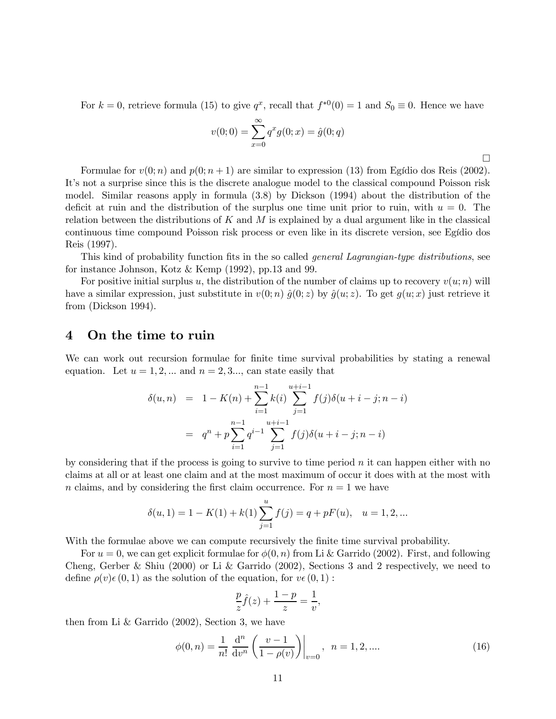For  $k = 0$ , retrieve formula (15) to give  $q^x$ , recall that  $f^{*0}(0) = 1$  and  $S_0 \equiv 0$ . Hence we have

$$
v(0; 0) = \sum_{x=0}^{\infty} q^x g(0; x) = \hat{g}(0; q)
$$

¤

Formulae for  $v(0; n)$  and  $p(0; n+1)$  are similar to expression (13) from Egídio dos Reis (2002). It's not a surprise since this is the discrete analogue model to the classical compound Poisson risk model. Similar reasons apply in formula (3.8) by Dickson (1994) about the distribution of the deficit at ruin and the distribution of the surplus one time unit prior to ruin, with  $u = 0$ . The relation between the distributions of K and M is explained by a dual argument like in the classical continuous time compound Poisson risk process or even like in its discrete version, see Egídio dos Reis (1997).

This kind of probability function fits in the so called *general Lagrangian-type distributions*, see for instance Johnson, Kotz & Kemp (1992), pp.13 and 99.

For positive initial surplus u, the distribution of the number of claims up to recovery  $v(u; n)$  will have a similar expression, just substitute in  $v(0; n) \hat{g}(0; z)$  by  $\hat{g}(u; z)$ . To get  $g(u; x)$  just retrieve it from (Dickson 1994).

### 4 On the time to ruin

We can work out recursion formulae for finite time survival probabilities by stating a renewal equation. Let  $u = 1, 2, ...$  and  $n = 2, 3, ...$  can state easily that

$$
\delta(u,n) = 1 - K(n) + \sum_{i=1}^{n-1} k(i) \sum_{j=1}^{u+i-1} f(j) \delta(u+i-j; n-i)
$$

$$
= q^{n} + p \sum_{i=1}^{n-1} q^{i-1} \sum_{j=1}^{u+i-1} f(j) \delta(u+i-j; n-i)
$$

by considering that if the process is going to survive to time period  $n$  it can happen either with no claims at all or at least one claim and at the most maximum of occur it does with at the most with n claims, and by considering the first claim occurrence. For  $n = 1$  we have

$$
\delta(u,1) = 1 - K(1) + k(1) \sum_{j=1}^{u} f(j) = q + pF(u), \quad u = 1,2,...
$$

With the formulae above we can compute recursively the finite time survival probability.

For  $u = 0$ , we can get explicit formulae for  $\phi(0, n)$  from Li & Garrido (2002). First, and following Cheng, Gerber & Shiu (2000) or Li & Garrido (2002), Sections 3 and 2 respectively, we need to define  $\rho(v)\epsilon(0,1)$  as the solution of the equation, for  $v\epsilon(0,1)$ :

$$
\frac{p}{z}\hat{f}(z) + \frac{1-p}{z} = \frac{1}{v},
$$

then from Li & Garrido (2002), Section 3, we have

$$
\phi(0,n) = \frac{1}{n!} \frac{d^n}{dv^n} \left( \frac{v-1}{1-\rho(v)} \right) \Big|_{v=0}, \quad n = 1, 2, \dots
$$
\n(16)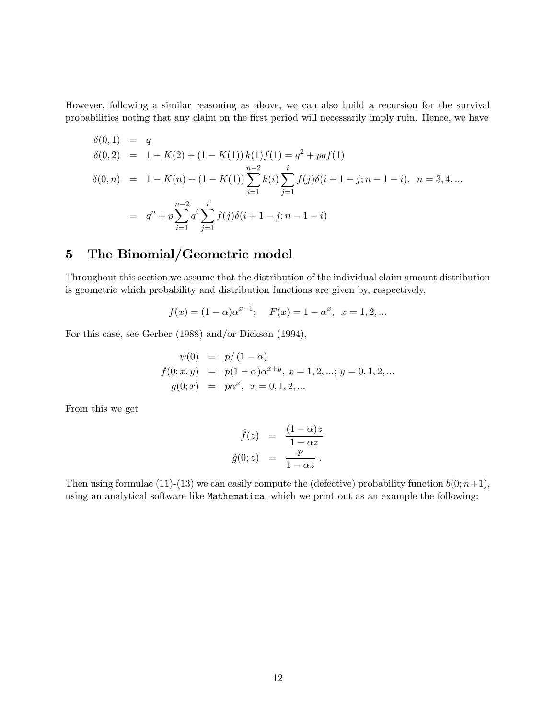However, following a similar reasoning as above, we can also build a recursion for the survival probabilities noting that any claim on the first period will necessarily imply ruin. Hence, we have

$$
\delta(0,1) = q
$$
  
\n
$$
\delta(0,2) = 1 - K(2) + (1 - K(1)) k(1) f(1) = q^2 + pqf(1)
$$
  
\n
$$
\delta(0,n) = 1 - K(n) + (1 - K(1)) \sum_{i=1}^{n-2} k(i) \sum_{j=1}^{i} f(j) \delta(i+1-j; n-1-i), \quad n = 3, 4, ...
$$
  
\n
$$
= q^n + p \sum_{i=1}^{n-2} q^i \sum_{j=1}^{i} f(j) \delta(i+1-j; n-1-i)
$$

# 5 The Binomial/Geometric model

Throughout this section we assume that the distribution of the individual claim amount distribution is geometric which probability and distribution functions are given by, respectively,

$$
f(x) = (1 - \alpha)\alpha^{x-1};
$$
  $F(x) = 1 - \alpha^x, x = 1, 2, ...$ 

For this case, see Gerber (1988) and/or Dickson (1994),

$$
\psi(0) = p/(1-\alpha)
$$
  
\n
$$
f(0; x, y) = p(1-\alpha)\alpha^{x+y}, x = 1, 2, ...; y = 0, 1, 2, ...
$$
  
\n
$$
g(0; x) = p\alpha^{x}, x = 0, 1, 2, ...
$$

From this we get

$$
\hat{f}(z) = \frac{(1-\alpha)z}{1-\alpha z}
$$

$$
\hat{g}(0;z) = \frac{p}{1-\alpha z}.
$$

Then using formulae (11)-(13) we can easily compute the (defective) probability function  $b(0; n+1)$ , using an analytical software like Mathematica, which we print out as an example the following: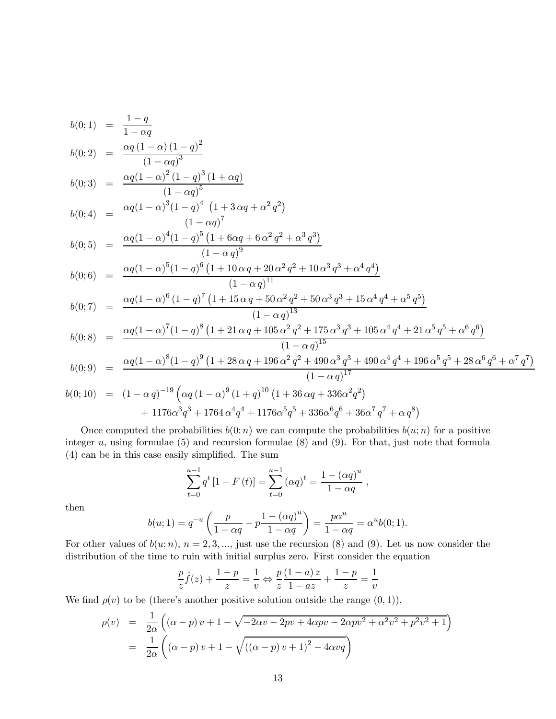$$
b(0;1) = \frac{1-q}{1-\alpha q}
$$

$$
b(0;2) = \frac{\alpha q (1-\alpha) (1-q)^2}{(1-\alpha q)^3}
$$

$$
b(0;3) = \frac{\alpha q (1-\alpha)^2 (1-q)^3 (1+\alpha q)}{(1-\alpha q)^5}
$$
  

$$
b(0;4) = \frac{\alpha q (1-\alpha)^3 (1-q)^4 (1+3\alpha q+\alpha^2 q^2)}{(1-q)^3 (1-q)^4 (1+\alpha q^2 q^2)}
$$

$$
b(0;4) = \frac{\alpha q (1-\alpha)^3 (1-q)^4 (1+3 \alpha q + \alpha^2 q^2)}{(1-\alpha q)^7}
$$
  

$$
\alpha q (1-\alpha)^4 (1-q)^5 (1+6 \alpha q + 6 \alpha^2 q^2 + \alpha^3 q^3)
$$

$$
b(0;5) = \frac{\alpha q (1-\alpha)^4 (1-q)^5 (1+6\alpha q+6\alpha^2 q^2+\alpha^3 q^3)}{(1-\alpha q)^9}
$$

$$
b(0;6) = \frac{\alpha q (1-\alpha)^5 (1-q)^6 (1+10 \alpha q+20 \alpha^2 q^2+10 \alpha^3 q^3+\alpha^4 q^4)}{(1-\alpha q)^{11}}
$$

$$
b(0;7) = \frac{\alpha q (1-\alpha)^6 (1-q)^7 (1+15 \alpha q + 50 \alpha^2 q^2 + 50 \alpha^3 q^3 + 15 \alpha^4 q^4 + \alpha^5 q^5)}{(1-\alpha q)^{13}}
$$

$$
b(0;8) = \frac{\alpha q (1-\alpha)^7 (1-q)^8 (1+21 \alpha q + 105 \alpha^2 q^2 + 175 \alpha^3 q^3 + 105 \alpha^4 q^4 + 21 \alpha^5 q^5 + \alpha^6 q^6)}{(1-\alpha q)^{15}}
$$

$$
b(0;9) = \frac{\alpha q (1-\alpha)^8 (1-q)^9 (1+28 \alpha q+196 \alpha^2 q^2+490 \alpha^3 q^3+490 \alpha^4 q^4+196 \alpha^5 q^5+28 \alpha^6 q^6+\alpha^7 q^7)}{(1-\alpha q)^{17}}
$$

$$
b(0;10) = (1 - \alpha q)^{-19} \left( \alpha q (1 - \alpha)^9 (1 + q)^{10} (1 + 36 \alpha q + 336 \alpha^2 q^2) + 1176 \alpha^3 q^3 + 1764 \alpha^4 q^4 + 1176 \alpha^5 q^5 + 336 \alpha^6 q^6 + 36 \alpha^7 q^7 + \alpha q^8 \right)
$$

Once computed the probabilities  $b(0; n)$  we can compute the probabilities  $b(u; n)$  for a positive integer  $u$ , using formulae (5) and recursion formulae (8) and (9). For that, just note that formula (4) can be in this case easily simplified. The sum

$$
\sum_{t=0}^{u-1} q^t [1 - F(t)] = \sum_{t=0}^{u-1} (\alpha q)^t = \frac{1 - (\alpha q)^u}{1 - \alpha q} ,
$$

then

$$
b(u; 1) = q^{-u} \left( \frac{p}{1 - \alpha q} - p \frac{1 - (\alpha q)^u}{1 - \alpha q} \right) = \frac{p \alpha^u}{1 - \alpha q} = \alpha^u b(0; 1).
$$

For other values of  $b(u; n)$ ,  $n = 2, 3, \dots$ , just use the recursion (8) and (9). Let us now consider the distribution of the time to ruin with initial surplus zero. First consider the equation

$$
\frac{p}{z}\hat{f}(z) + \frac{1-p}{z} = \frac{1}{v} \Leftrightarrow \frac{p}{z}\frac{(1-a)z}{1-az} + \frac{1-p}{z} = \frac{1}{v}
$$

We find  $\rho(v)$  to be (there's another positive solution outside the range  $(0, 1)$ ).

$$
\rho(v) = \frac{1}{2\alpha} \left( (\alpha - p) v + 1 - \sqrt{-2\alpha v - 2pv + 4\alpha pv - 2\alpha pv^2 + \alpha^2 v^2 + p^2 v^2 + 1} \right)
$$
  
= 
$$
\frac{1}{2\alpha} \left( (\alpha - p) v + 1 - \sqrt{((\alpha - p) v + 1)^2 - 4\alpha v q} \right)
$$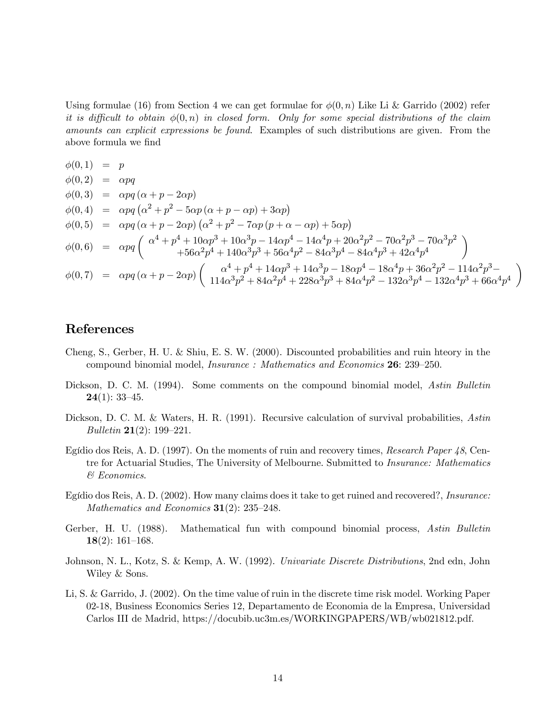Using formulae (16) from Section 4 we can get formulae for  $\phi(0, n)$  Like Li & Garrido (2002) refer it is difficult to obtain  $\phi(0,n)$  in closed form. Only for some special distributions of the claim amounts can explicit expressions be found. Examples of such distributions are given. From the above formula we find

$$
\phi(0,1) = p
$$
\n
$$
\phi(0,2) = \alpha pq
$$
\n
$$
\phi(0,3) = \alpha pq (\alpha + p - 2\alpha p)
$$
\n
$$
\phi(0,4) = \alpha pq (\alpha^2 + p^2 - 5\alpha p (\alpha + p - \alpha p) + 3\alpha p)
$$
\n
$$
\phi(0,5) = \alpha pq (\alpha + p - 2\alpha p) (\alpha^2 + p^2 - 7\alpha p (p + \alpha - \alpha p) + 5\alpha p)
$$
\n
$$
\phi(0,6) = \alpha pq (\alpha^4 + p^4 + 10\alpha p^3 + 10\alpha^3 p - 14\alpha p^4 - 14\alpha^4 p + 20\alpha^2 p^2 - 70\alpha^2 p^3 - 70\alpha^3 p^2)
$$
\n
$$
\phi(0,6) = \alpha pq (\alpha^4 + p^4 + 140\alpha^3 p^3 + 56\alpha^4 p^2 - 84\alpha^3 p^4 - 84\alpha^4 p^3 + 42\alpha^4 p^4)
$$
\n
$$
\phi(0,7) = \alpha pq (\alpha + p - 2\alpha p) (\alpha^4 + p^4 + 14\alpha p^3 + 14\alpha^3 p - 18\alpha p^4 - 18\alpha^4 p + 36\alpha^2 p^2 - 114\alpha^2 p^3 - 84\alpha^4 p^4 + 14\alpha^3 p^2 + 84\alpha^2 p^4 + 228\alpha^3 p^3 + 84\alpha^4 p^2 - 132\alpha^3 p^4 - 132\alpha^4 p^3 + 66\alpha^4 p^4)
$$

# References

- Cheng, S., Gerber, H. U. & Shiu, E. S. W. (2000). Discounted probabilities and ruin hteory in the compound binomial model, Insurance : Mathematics and Economics 26: 239—250.
- Dickson, D. C. M. (1994). Some comments on the compound binomial model, Astin Bulletin  $24(1): 33-45.$
- Dickson, D. C. M. & Waters, H. R. (1991). Recursive calculation of survival probabilities, Astin Bulletin 21(2): 199—221.
- Egídio dos Reis, A. D. (1997). On the moments of ruin and recovery times, Research Paper 48, Centre for Actuarial Studies, The University of Melbourne. Submitted to Insurance: Mathematics & Economics.
- Egídio dos Reis, A. D. (2002). How many claims does it take to get ruined and recovered?, Insurance: Mathematics and Economics  $31(2)$ : 235-248.
- Gerber, H. U. (1988). Mathematical fun with compound binomial process, Astin Bulletin 18(2): 161—168.
- Johnson, N. L., Kotz, S. & Kemp, A. W. (1992). Univariate Discrete Distributions, 2nd edn, John Wiley & Sons.
- Li, S. & Garrido, J. (2002). On the time value of ruin in the discrete time risk model. Working Paper 02-18, Business Economics Series 12, Departamento de Economia de la Empresa, Universidad Carlos III de Madrid, https://docubib.uc3m.es/WORKINGPAPERS/WB/wb021812.pdf.